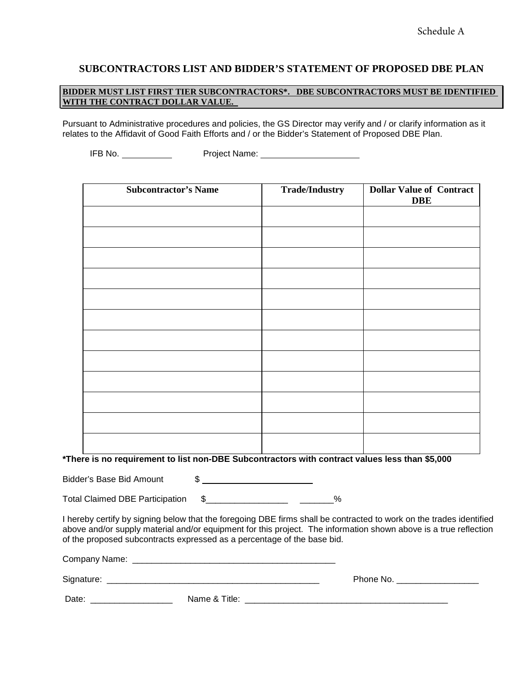#### **SUBCONTRACTORS LIST AND BIDDER'S STATEMENT OF PROPOSED DBE PLAN**

#### **BIDDER MUST LIST FIRST TIER SUBCONTRACTORS\*. DBE SUBCONTRACTORS MUST BE IDENTIFIED WITH THE CONTRACT DOLLAR VALUE.**

Pursuant to Administrative procedures and policies, the GS Director may verify and / or clarify information as it relates to the Affidavit of Good Faith Efforts and / or the Bidder's Statement of Proposed DBE Plan.

IFB No. Project Name:

| <b>Subcontractor's Name</b> | <b>Trade/Industry</b> | <b>Dollar Value of Contract</b><br><b>DBE</b> |
|-----------------------------|-----------------------|-----------------------------------------------|
|                             |                       |                                               |
|                             |                       |                                               |
|                             |                       |                                               |
|                             |                       |                                               |
|                             |                       |                                               |
|                             |                       |                                               |
|                             |                       |                                               |
|                             |                       |                                               |
|                             |                       |                                               |
|                             |                       |                                               |
|                             |                       |                                               |

**\*There is no requirement to list non-DBE Subcontractors with contract values less than \$5,000**

Bidder's Base Bid Amount \$

Total Claimed DBE Participation  $$$  \_\_\_\_\_\_\_\_\_\_\_\_\_\_\_\_\_\_\_\_\_ 3%

I hereby certify by signing below that the foregoing DBE firms shall be contracted to work on the trades identified above and/or supply material and/or equipment for this project. The information shown above is a true reflection of the proposed subcontracts expressed as a percentage of the base bid.

Company Name: \_\_\_\_\_\_\_\_\_\_\_\_\_\_\_\_\_\_\_\_\_\_\_\_\_\_\_\_\_\_\_\_\_\_\_\_\_\_\_\_\_\_

Signature: \_\_\_\_\_\_\_\_\_\_\_\_\_\_\_\_\_\_\_\_\_\_\_\_\_\_\_\_\_\_\_\_\_\_\_\_\_\_\_\_\_\_\_\_ Phone No. \_\_\_\_\_\_\_\_\_\_\_\_\_\_\_\_\_

| Phone No. |  |  |  |
|-----------|--|--|--|
|           |  |  |  |

| Date: | Name & |
|-------|--------|
|       |        |

Date: \_\_\_\_\_\_\_\_\_\_\_\_\_\_\_\_\_ Name & Title: \_\_\_\_\_\_\_\_\_\_\_\_\_\_\_\_\_\_\_\_\_\_\_\_\_\_\_\_\_\_\_\_\_\_\_\_\_\_\_\_\_\_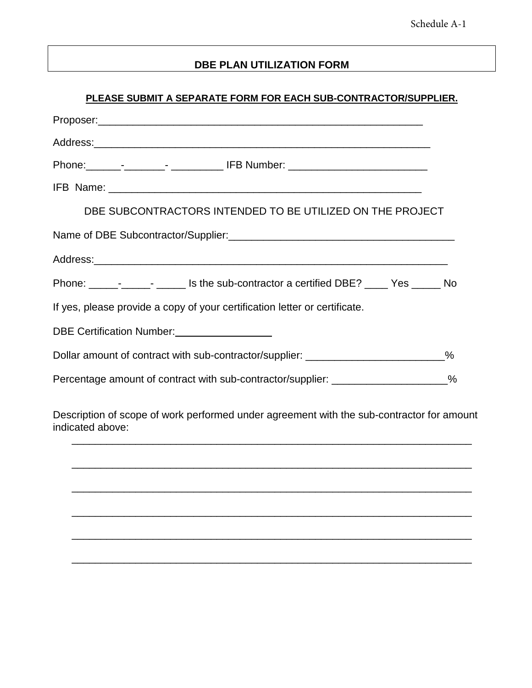## **DBE PLAN UTILIZATION FORM**

## **PLEASE SUBMIT A SEPARATE FORM FOR EACH SUB-CONTRACTOR/SUPPLIER.**

| DBE SUBCONTRACTORS INTENDED TO BE UTILIZED ON THE PROJECT                                                                                                                                                                              |      |
|----------------------------------------------------------------------------------------------------------------------------------------------------------------------------------------------------------------------------------------|------|
|                                                                                                                                                                                                                                        |      |
|                                                                                                                                                                                                                                        |      |
| Phone: _________________________ Is the sub-contractor a certified DBE? ______ Yes _______ No                                                                                                                                          |      |
| If yes, please provide a copy of your certification letter or certificate.                                                                                                                                                             |      |
| DBE Certification Number:<br><u> Letter and the set of the set of the set of the set of the set of the set of the set of the set of the set of the set of the set of the set of the set of the set of the set of the set of the se</u> |      |
| Dollar amount of contract with sub-contractor/supplier: ________________________                                                                                                                                                       | $\%$ |
| Percentage amount of contract with sub-contractor/supplier: __________________%                                                                                                                                                        |      |
|                                                                                                                                                                                                                                        |      |

Description of scope of work performed under agreement with the sub-contractor for amount indicated above:

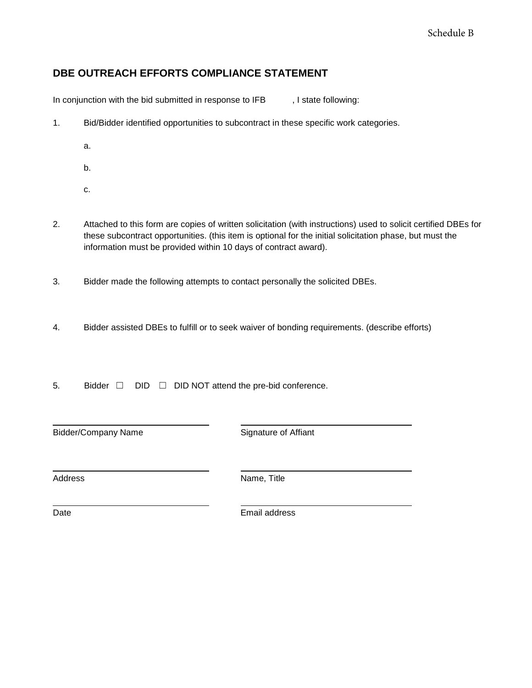# **DBE OUTREACH EFFORTS COMPLIANCE STATEMENT**

In conjunction with the bid submitted in response to IFB , I state following:

- 1. Bid/Bidder identified opportunities to subcontract in these specific work categories.
	- a.
	- b.
	- c.
- 2. Attached to this form are copies of written solicitation (with instructions) used to solicit certified DBEs for these subcontract opportunities. (this item is optional for the initial solicitation phase, but must the information must be provided within 10 days of contract award).
- 3. Bidder made the following attempts to contact personally the solicited DBEs.
- 4. Bidder assisted DBEs to fulfill or to seek waiver of bonding requirements. (describe efforts)
- 5. Bidder □ DID □ DID NOT attend the pre-bid conference.

Bidder/Company Name Signature of Affiant

Address Name, Title

Date **Email** address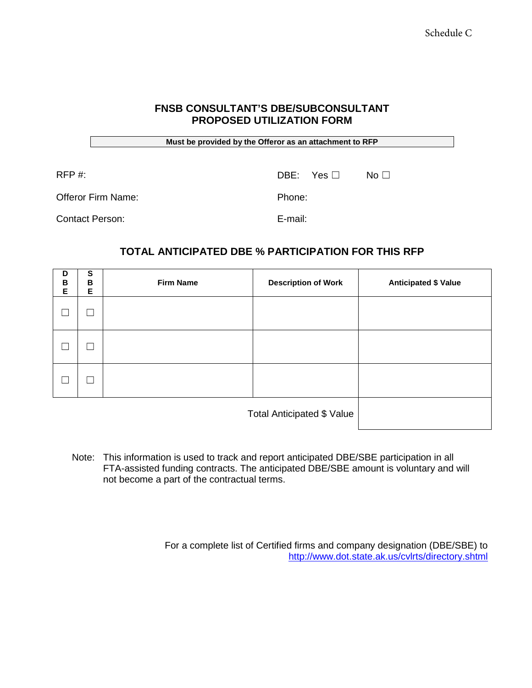### **FNSB CONSULTANT'S DBE/SUBCONSULTANT PROPOSED UTILIZATION FORM**

**Must be provided by the Offeror as an attachment to RFP**

 $RFP \#$ :  $DBE: Yes \Box$  No  $\Box$ 

Offeror Firm Name: Phone:

Contact Person: E-mail:

# **TOTAL ANTICIPATED DBE % PARTICIPATION FOR THIS RFP**

| D<br>В<br>E | $\overline{\mathbf{s}}$<br>B<br>Е | <b>Firm Name</b> | <b>Description of Work</b> | <b>Anticipated \$ Value</b> |
|-------------|-----------------------------------|------------------|----------------------------|-----------------------------|
|             | Г                                 |                  |                            |                             |
|             | $\Box$                            |                  |                            |                             |
|             | $\Box$                            |                  |                            |                             |
|             | Total Anticipated \$ Value        |                  |                            |                             |

Note: This information is used to track and report anticipated DBE/SBE participation in all FTA-assisted funding contracts. The anticipated DBE/SBE amount is voluntary and will not become a part of the contractual terms.

> For a complete list of Certified firms and company designation (DBE/SBE) to <http://www.dot.state.ak.us/cvlrts/directory.shtml>